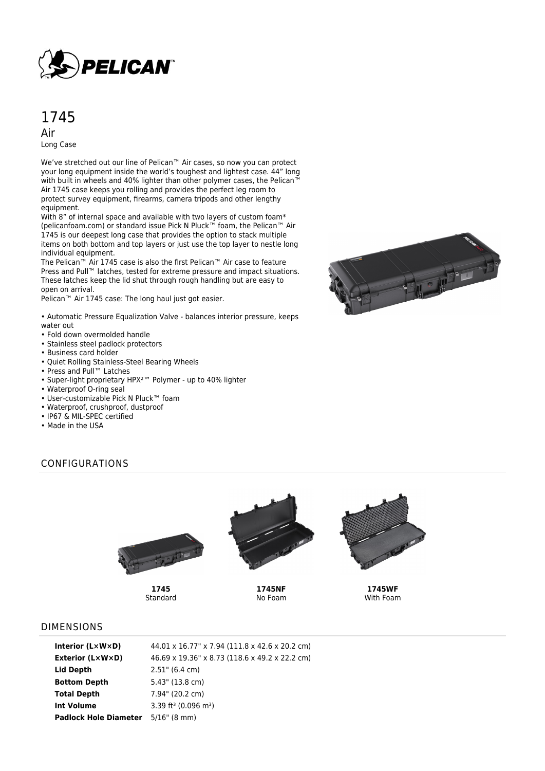

# 1745

Air Long Case

We've stretched out our line of Pelican™ Air cases, so now you can protect your long equipment inside the world's toughest and lightest case. 44" long with built in wheels and 40% lighter than other polymer cases, the Pelican™ Air 1745 case keeps you rolling and provides the perfect leg room to protect survey equipment, firearms, camera tripods and other lengthy equipment.

With 8" of internal space and available with two layers of custom foam\* (pelicanfoam.com) or standard issue Pick N Pluck™ foam, the Pelican™ Air 1745 is our deepest long case that provides the option to stack multiple items on both bottom and top layers or just use the top layer to nestle long individual equipment.

The Pelican™ Air 1745 case is also the first Pelican™ Air case to feature Press and Pull™ latches, tested for extreme pressure and impact situations. These latches keep the lid shut through rough handling but are easy to open on arrival.

Pelican™ Air 1745 case: The long haul just got easier.

• Automatic Pressure Equalization Valve - balances interior pressure, keeps water out

- Fold down overmolded handle
- Stainless steel padlock protectors
- Business card holder
- Quiet Rolling Stainless-Steel Bearing Wheels
- Press and Pull™ Latches
- Super-light proprietary HPX²™ Polymer up to 40% lighter
- Waterproof O-ring seal
- User-customizable Pick N Pluck™ foam
- Waterproof, crushproof, dustproof
- IP67 & MIL-SPEC certified
- Made in the USA



# CONFIGURATIONS



**1745** Standard



**1745NF** No Foam



**1745WF** With Foam

#### DIMENSIONS

| <b>Interior (LxWxD)</b>                   | 44.01 x 16.77" x 7.94 (111.8 x 42.6 x 20.2 cm) |
|-------------------------------------------|------------------------------------------------|
| Exterior (L×W×D)                          | 46.69 x 19.36" x 8.73 (118.6 x 49.2 x 22.2 cm) |
| Lid Depth                                 | $2.51$ " (6.4 cm)                              |
| <b>Bottom Depth</b>                       | $5.43$ " (13.8 cm)                             |
| <b>Total Depth</b>                        | $7.94$ " (20.2 cm)                             |
| Int Volume                                | 3.39 ft <sup>3</sup> (0.096 m <sup>3</sup> )   |
| <b>Padlock Hole Diameter</b> 5/16" (8 mm) |                                                |